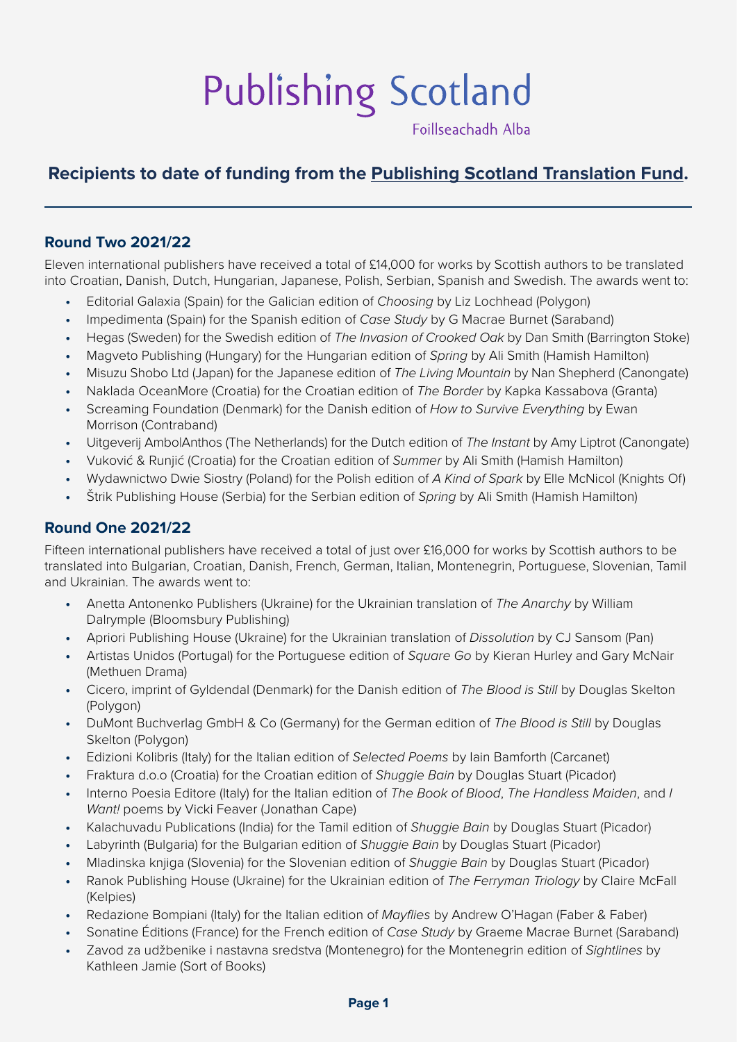# Publishing Scotland

Foillseachadh Alba

# **Recipients to date of funding from the [Publishing Scotland Translation Fund](https://www.publishingscotland.org/what-we-do/translation-fund-2/).**

#### **Round Two 2021/22**

Eleven international publishers have received a total of £14,000 for works by Scottish authors to be translated into Croatian, Danish, Dutch, Hungarian, Japanese, Polish, Serbian, Spanish and Swedish. The awards went to:

- **•** Editorial Galaxia (Spain) for the Galician edition of *Choosing* by Liz Lochhead (Polygon)
- **•** Impedimenta (Spain) for the Spanish edition of *Case Study* by G Macrae Burnet (Saraband)
- **•** Hegas (Sweden) for the Swedish edition of *The Invasion of Crooked Oak* by Dan Smith (Barrington Stoke)
- **•** Magveto Publishing (Hungary) for the Hungarian edition of *Spring* by Ali Smith (Hamish Hamilton)
- **•** Misuzu Shobo Ltd (Japan) for the Japanese edition of *The Living Mountain* by Nan Shepherd (Canongate)
- **•** Naklada OceanMore (Croatia) for the Croatian edition of *The Border* by Kapka Kassabova (Granta)
- **•** Screaming Foundation (Denmark) for the Danish edition of *How to Survive Everything* by Ewan Morrison (Contraband)
- **•** Uitgeverij Ambo|Anthos (The Netherlands) for the Dutch edition of *The Instant* by Amy Liptrot (Canongate)
- **•** Vuković & Runjić (Croatia) for the Croatian edition of *Summer* by Ali Smith (Hamish Hamilton)
- **•** Wydawnictwo Dwie Siostry (Poland) for the Polish edition of *A Kind of Spark* by Elle McNicol (Knights Of)
- **•** Štrik Publishing House (Serbia) for the Serbian edition of *Spring* by Ali Smith (Hamish Hamilton)

#### **Round One 2021/22**

Fifteen international publishers have received a total of just over £16,000 for works by Scottish authors to be translated into Bulgarian, Croatian, Danish, French, German, Italian, Montenegrin, Portuguese, Slovenian, Tamil and Ukrainian. The awards went to:

- **•** Anetta Antonenko Publishers (Ukraine) for the Ukrainian translation of *The Anarchy* by William Dalrymple (Bloomsbury Publishing)
- **•** Apriori Publishing House (Ukraine) for the Ukrainian translation of *Dissolution* by CJ Sansom (Pan)
- **•** Artistas Unidos (Portugal) for the Portuguese edition of *Square Go* by Kieran Hurley and Gary McNair (Methuen Drama)
- **•** Cicero, imprint of Gyldendal (Denmark) for the Danish edition of *The Blood is Still* by Douglas Skelton (Polygon)
- **•** DuMont Buchverlag GmbH & Co (Germany) for the German edition of *The Blood is Still* by Douglas Skelton (Polygon)
- **•** Edizioni Kolibris (Italy) for the Italian edition of *Selected Poems* by Iain Bamforth (Carcanet)
- **•** Fraktura d.o.o (Croatia) for the Croatian edition of *Shuggie Bain* by Douglas Stuart (Picador)
- **•** Interno Poesia Editore (Italy) for the Italian edition of *The Book of Blood*, *The Handless Maiden*, and *I Want!* poems by Vicki Feaver (Jonathan Cape)
- **•** Kalachuvadu Publications (India) for the Tamil edition of *Shuggie Bain* by Douglas Stuart (Picador)
- **•** Labyrinth (Bulgaria) for the Bulgarian edition of *Shuggie Bain* by Douglas Stuart (Picador)
- **•** Mladinska knjiga (Slovenia) for the Slovenian edition of *Shuggie Bain* by Douglas Stuart (Picador)
- **•** Ranok Publishing House (Ukraine) for the Ukrainian edition of *The Ferryman Triology* by Claire McFall (Kelpies)
- **•** Redazione Bompiani (Italy) for the Italian edition of *Mayflies* by Andrew O'Hagan (Faber & Faber)
- **•** Sonatine Éditions (France) for the French edition of *Case Study* by Graeme Macrae Burnet (Saraband)
- **•** Zavod za udžbenike i nastavna sredstva (Montenegro) for the Montenegrin edition of *Sightlines* by Kathleen Jamie (Sort of Books)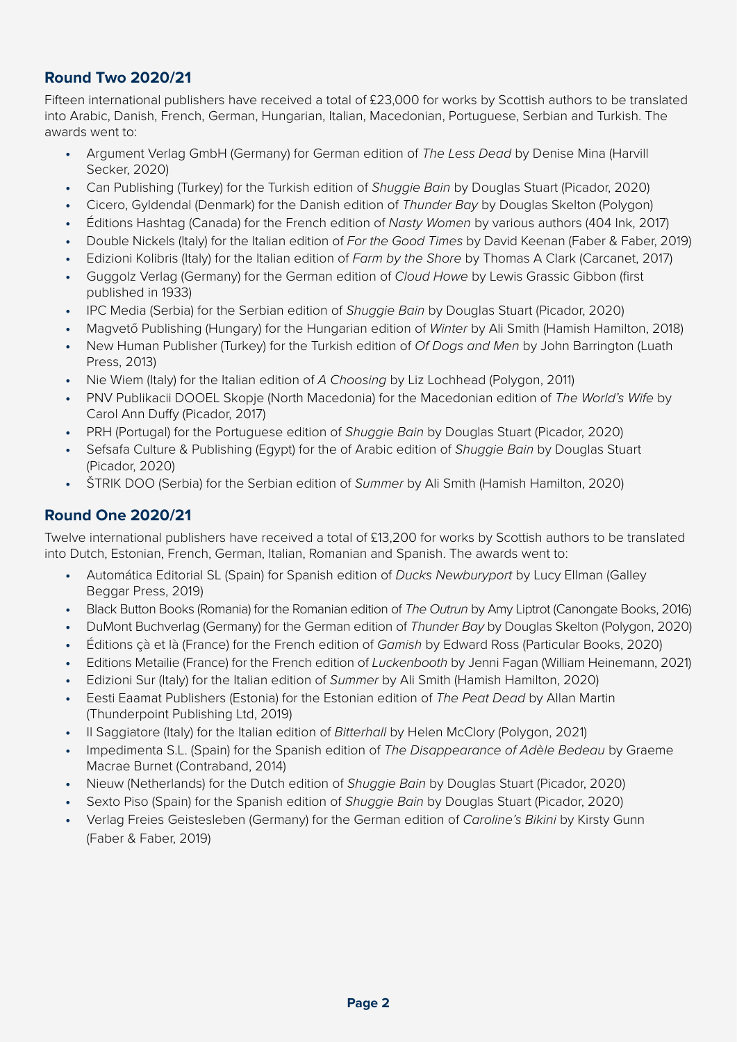### **Round Two 2020/21**

Fifteen international publishers have received a total of £23,000 for works by Scottish authors to be translated into Arabic, Danish, French, German, Hungarian, Italian, Macedonian, Portuguese, Serbian and Turkish. The awards went to:

- **•** Argument Verlag GmbH (Germany) for German edition of *The Less Dead* by Denise Mina (Harvill Secker, 2020)
- **•** Can Publishing (Turkey) for the Turkish edition of *Shuggie Bain* by Douglas Stuart (Picador, 2020)
- **•** Cicero, Gyldendal (Denmark) for the Danish edition of *Thunder Bay* by Douglas Skelton (Polygon)
- **•** Éditions Hashtag (Canada) for the French edition of *Nasty Women* by various authors (404 Ink, 2017)
- **•** Double Nickels (Italy) for the Italian edition of *For the Good Times* by David Keenan (Faber & Faber, 2019)
- **•** Edizioni Kolibris (Italy) for the Italian edition of *Farm by the Shore* by Thomas A Clark (Carcanet, 2017)
- **•** Guggolz Verlag (Germany) for the German edition of *Cloud Howe* by Lewis Grassic Gibbon (first published in 1933)
- **•** IPC Media (Serbia) for the Serbian edition of *Shuggie Bain* by Douglas Stuart (Picador, 2020)
- **•** Magvető Publishing (Hungary) for the Hungarian edition of *Winter* by Ali Smith (Hamish Hamilton, 2018)
- **•** New Human Publisher (Turkey) for the Turkish edition of *Of Dogs and Men* by John Barrington (Luath Press, 2013)
- **•** Nie Wiem (Italy) for the Italian edition of *A Choosing* by Liz Lochhead (Polygon, 2011)
- **•** PNV Publikacii DOOEL Skopje (North Macedonia) for the Macedonian edition of *The World's Wife* by Carol Ann Duffy (Picador, 2017)
- **•** PRH (Portugal) for the Portuguese edition of *Shuggie Bain* by Douglas Stuart (Picador, 2020)
- **•** Sefsafa Culture & Publishing (Egypt) for the of Arabic edition of *Shuggie Bain* by Douglas Stuart (Picador, 2020)
- **•** ŠTRIK DOO (Serbia) for the Serbian edition of *Summer* by Ali Smith (Hamish Hamilton, 2020)

# **Round One 2020/21**

Twelve international publishers have received a total of £13,200 for works by Scottish authors to be translated into Dutch, Estonian, French, German, Italian, Romanian and Spanish. The awards went to:

- **•** Automática Editorial SL (Spain) for Spanish edition of *Ducks Newburyport* by Lucy Ellman (Galley Beggar Press, 2019)
- **•** Black Button Books (Romania) for the Romanian edition of *The Outrun* by Amy Liptrot (Canongate Books, 2016)
- **•** DuMont Buchverlag (Germany) for the German edition of *Thunder Bay* by Douglas Skelton (Polygon, 2020)
- **•** Éditions çà et là (France) for the French edition of *Gamish* by Edward Ross (Particular Books, 2020)
- **•** Editions Metailie (France) for the French edition of *Luckenbooth* by Jenni Fagan (William Heinemann, 2021)
- **•** Edizioni Sur (Italy) for the Italian edition of *Summer* by Ali Smith (Hamish Hamilton, 2020)
- **•** Eesti Eaamat Publishers (Estonia) for the Estonian edition of *The Peat Dead* by Allan Martin (Thunderpoint Publishing Ltd, 2019)
- **•** Il Saggiatore (Italy) for the Italian edition of *Bitterhall* by Helen McClory (Polygon, 2021)
- **•** Impedimenta S.L. (Spain) for the Spanish edition of *The Disappearance of Adèle Bedeau* by Graeme Macrae Burnet (Contraband, 2014)
- **•** Nieuw (Netherlands) for the Dutch edition of *Shuggie Bain* by Douglas Stuart (Picador, 2020)
- **•** Sexto Piso (Spain) for the Spanish edition of *Shuggie Bain* by Douglas Stuart (Picador, 2020)
- **•** Verlag Freies Geistesleben (Germany) for the German edition of *Caroline's Bikini* by Kirsty Gunn (Faber & Faber, 2019)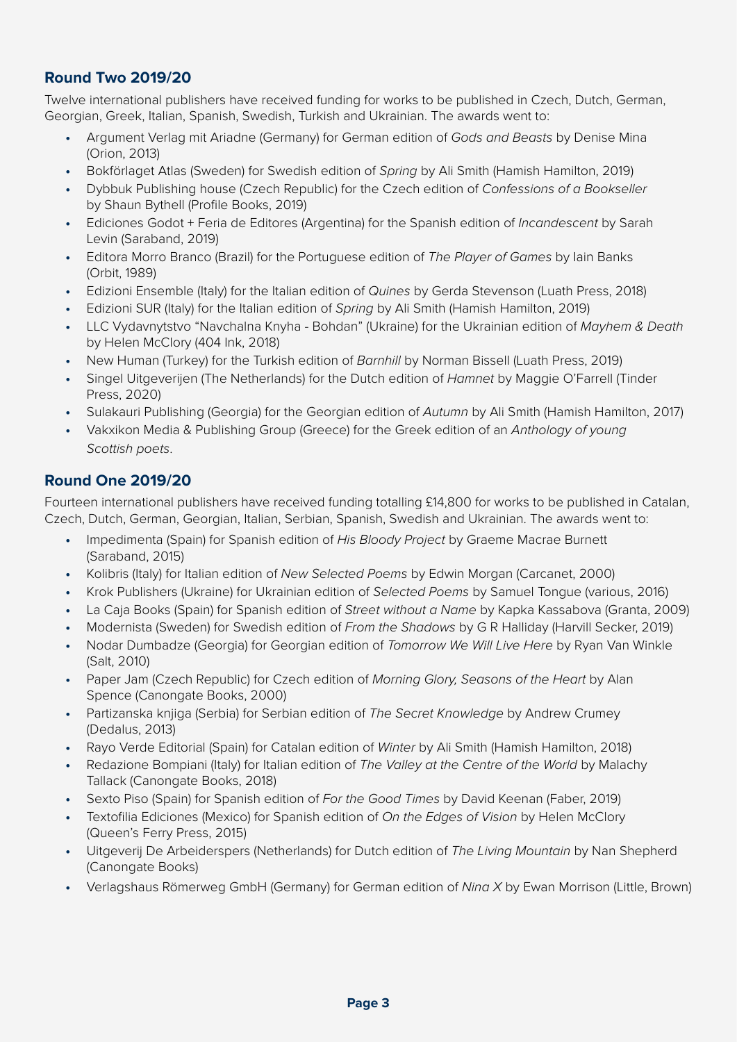# **Round Two 2019/20**

Twelve international publishers have received funding for works to be published in Czech, Dutch, German, Georgian, Greek, Italian, Spanish, Swedish, Turkish and Ukrainian. The awards went to:

- **•** Argument Verlag mit Ariadne (Germany) for German edition of *Gods and Beasts* by Denise Mina (Orion, 2013)
- **•** Bokförlaget Atlas (Sweden) for Swedish edition of *Spring* by Ali Smith (Hamish Hamilton, 2019)
- **•** Dybbuk Publishing house (Czech Republic) for the Czech edition of *Confessions of a Bookseller*  by Shaun Bythell (Profile Books, 2019)
- **•** Ediciones Godot + Feria de Editores (Argentina) for the Spanish edition of *Incandescent* by Sarah Levin (Saraband, 2019)
- **•** Editora Morro Branco (Brazil) for the Portuguese edition of *The Player of Games* by Iain Banks (Orbit, 1989)
- **•** Edizioni Ensemble (Italy) for the Italian edition of *Quines* by Gerda Stevenson (Luath Press, 2018)
- **•** Edizioni SUR (Italy) for the Italian edition of *Spring* by Ali Smith (Hamish Hamilton, 2019)
- **•** LLC Vydavnytstvo "Navchalna Knyha Bohdan" (Ukraine) for the Ukrainian edition of *Mayhem & Death* by Helen McClory (404 Ink, 2018)
- **•** New Human (Turkey) for the Turkish edition of *Barnhill* by Norman Bissell (Luath Press, 2019)
- **•** Singel Uitgeverijen (The Netherlands) for the Dutch edition of *Hamnet* by Maggie O'Farrell (Tinder Press, 2020)
- **•** Sulakauri Publishing (Georgia) for the Georgian edition of *Autumn* by Ali Smith (Hamish Hamilton, 2017)
- **•** Vakxikon Media & Publishing Group (Greece) for the Greek edition of an *Anthology of young Scottish poets*.

#### **Round One 2019/20**

Fourteen international publishers have received funding totalling £14,800 for works to be published in Catalan, Czech, Dutch, German, Georgian, Italian, Serbian, Spanish, Swedish and Ukrainian. The awards went to:

- **•** Impedimenta (Spain) for Spanish edition of *His Bloody Project* by Graeme Macrae Burnett (Saraband, 2015)
- **•** Kolibris (Italy) for Italian edition of *New Selected Poems* by Edwin Morgan (Carcanet, 2000)
- **•** Krok Publishers (Ukraine) for Ukrainian edition of *Selected Poems* by Samuel Tongue (various, 2016)
- **•** La Caja Books (Spain) for Spanish edition of *Street without a Name* by Kapka Kassabova (Granta, 2009)
- **•** Modernista (Sweden) for Swedish edition of *From the Shadows* by G R Halliday (Harvill Secker, 2019)
- **•** Nodar Dumbadze (Georgia) for Georgian edition of *Tomorrow We Will Live Here* by Ryan Van Winkle (Salt, 2010)
- **•** Paper Jam (Czech Republic) for Czech edition of *Morning Glory, Seasons of the Heart* by Alan Spence (Canongate Books, 2000)
- **•** Partizanska knjiga (Serbia) for Serbian edition of *The Secret Knowledge* by Andrew Crumey (Dedalus, 2013)
- **•** Rayo Verde Editorial (Spain) for Catalan edition of *Winter* by Ali Smith (Hamish Hamilton, 2018)
- **•** Redazione Bompiani (Italy) for Italian edition of *The Valley at the Centre of the World* by Malachy Tallack (Canongate Books, 2018)
- **•** Sexto Piso (Spain) for Spanish edition of *For the Good Times* by David Keenan (Faber, 2019)
- **•** Textofilia Ediciones (Mexico) for Spanish edition of *On the Edges of Vision* by Helen McClory (Queen's Ferry Press, 2015)
- **•** Uitgeverij De Arbeiderspers (Netherlands) for Dutch edition of *The Living Mountain* by Nan Shepherd (Canongate Books)
- **•** Verlagshaus Römerweg GmbH (Germany) for German edition of *Nina X* by Ewan Morrison (Little, Brown)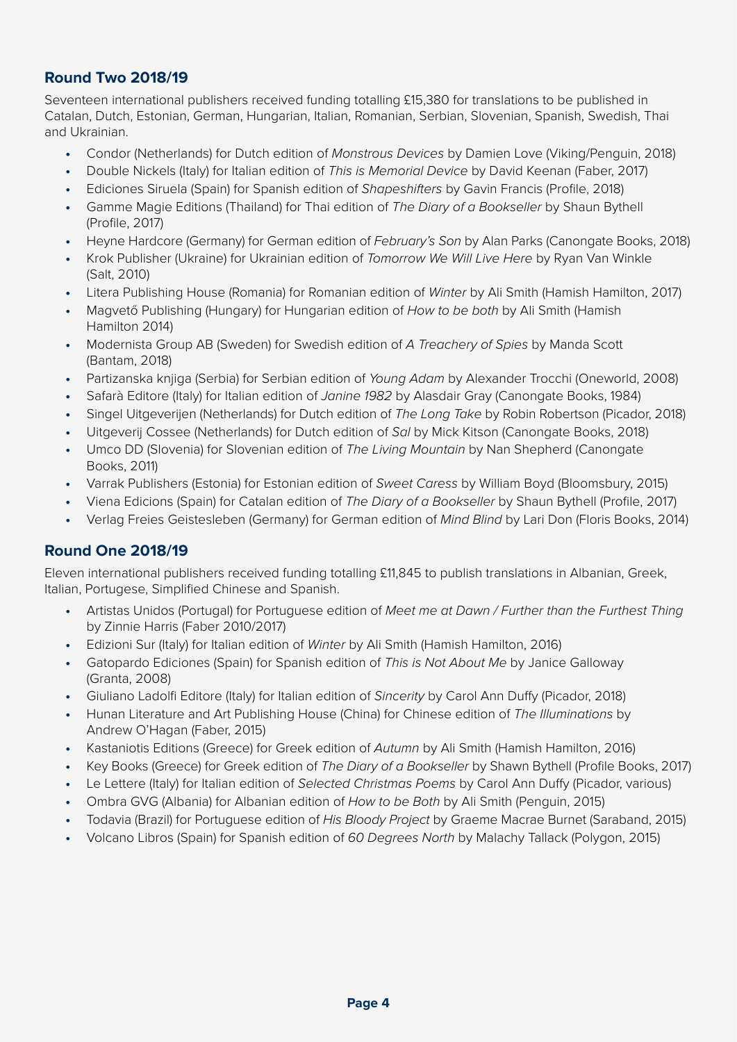#### **Round Two 2018/19**

Seventeen international publishers received funding totalling £15,380 for translations to be published in Catalan, Dutch, Estonian, German, Hungarian, Italian, Romanian, Serbian, Slovenian, Spanish, Swedish, Thai and Ukrainian.

- **•** Condor (Netherlands) for Dutch edition of *Monstrous Devices* by Damien Love (Viking/Penguin, 2018)
- **•** Double Nickels (Italy) for Italian edition of *This is Memorial Device* by David Keenan (Faber, 2017)
- **•** Ediciones Siruela (Spain) for Spanish edition of *Shapeshifters* by Gavin Francis (Profile, 2018)
- **•** Gamme Magie Editions (Thailand) for Thai edition of *The Diary of a Bookseller* by Shaun Bythell (Profile, 2017)
- **•** Heyne Hardcore (Germany) for German edition of *February's Son* by Alan Parks (Canongate Books, 2018)
- **•** Krok Publisher (Ukraine) for Ukrainian edition of *Tomorrow We Will Live Here* by Ryan Van Winkle (Salt, 2010)
- **•** Litera Publishing House (Romania) for Romanian edition of *Winter* by Ali Smith (Hamish Hamilton, 2017)
- **•** Magvető Publishing (Hungary) for Hungarian edition of *How to be both* by Ali Smith (Hamish Hamilton 2014)
- **•** Modernista Group AB (Sweden) for Swedish edition of *A Treachery of Spies* by Manda Scott (Bantam, 2018)
- **•** Partizanska knjiga (Serbia) for Serbian edition of *Young Adam* by Alexander Trocchi (Oneworld, 2008)
- **•** Safarà Editore (Italy) for Italian edition of *Janine 1982* by Alasdair Gray (Canongate Books, 1984)
- **•** Singel Uitgeverijen (Netherlands) for Dutch edition of *The Long Take* by Robin Robertson (Picador, 2018)
- **•** Uitgeverij Cossee (Netherlands) for Dutch edition of *Sal* by Mick Kitson (Canongate Books, 2018)
- **•** Umco DD (Slovenia) for Slovenian edition of *The Living Mountain* by Nan Shepherd (Canongate Books, 2011)
- **•** Varrak Publishers (Estonia) for Estonian edition of *Sweet Caress* by William Boyd (Bloomsbury, 2015)
- **•** Viena Edicions (Spain) for Catalan edition of *The Diary of a Bookseller* by Shaun Bythell (Profile, 2017)
- **•** Verlag Freies Geistesleben (Germany) for German edition of *Mind Blind* by Lari Don (Floris Books, 2014)

#### **Round One 2018/19**

Eleven international publishers received funding totalling £11,845 to publish translations in Albanian, Greek, Italian, Portugese, Simplified Chinese and Spanish.

- **•** Artistas Unidos (Portugal) for Portuguese edition of *Meet me at Dawn / Further than the Furthest Thing* by Zinnie Harris (Faber 2010/2017)
- **•** Edizioni Sur (Italy) for Italian edition of *Winter* by Ali Smith (Hamish Hamilton, 2016)
- **•** Gatopardo Ediciones (Spain) for Spanish edition of *This is Not About Me* by Janice Galloway (Granta, 2008)
- **•** Giuliano Ladolfi Editore (Italy) for Italian edition of *Sincerity* by Carol Ann Duffy (Picador, 2018)
- **•** Hunan Literature and Art Publishing House (China) for Chinese edition of *The Illuminations* by Andrew O'Hagan (Faber, 2015)
- **•** Kastaniotis Editions (Greece) for Greek edition of *Autumn* by Ali Smith (Hamish Hamilton, 2016)
- **•** Key Books (Greece) for Greek edition of *The Diary of a Bookseller* by Shawn Bythell (Profile Books, 2017)
- **•** Le Lettere (Italy) for Italian edition of *Selected Christmas Poems* by Carol Ann Duffy (Picador, various)
- **•** Ombra GVG (Albania) for Albanian edition of *How to be Both* by Ali Smith (Penguin, 2015)
- **•** Todavia (Brazil) for Portuguese edition of *His Bloody Project* by Graeme Macrae Burnet (Saraband, 2015)
- **•** Volcano Libros (Spain) for Spanish edition of *60 Degrees North* by Malachy Tallack (Polygon, 2015)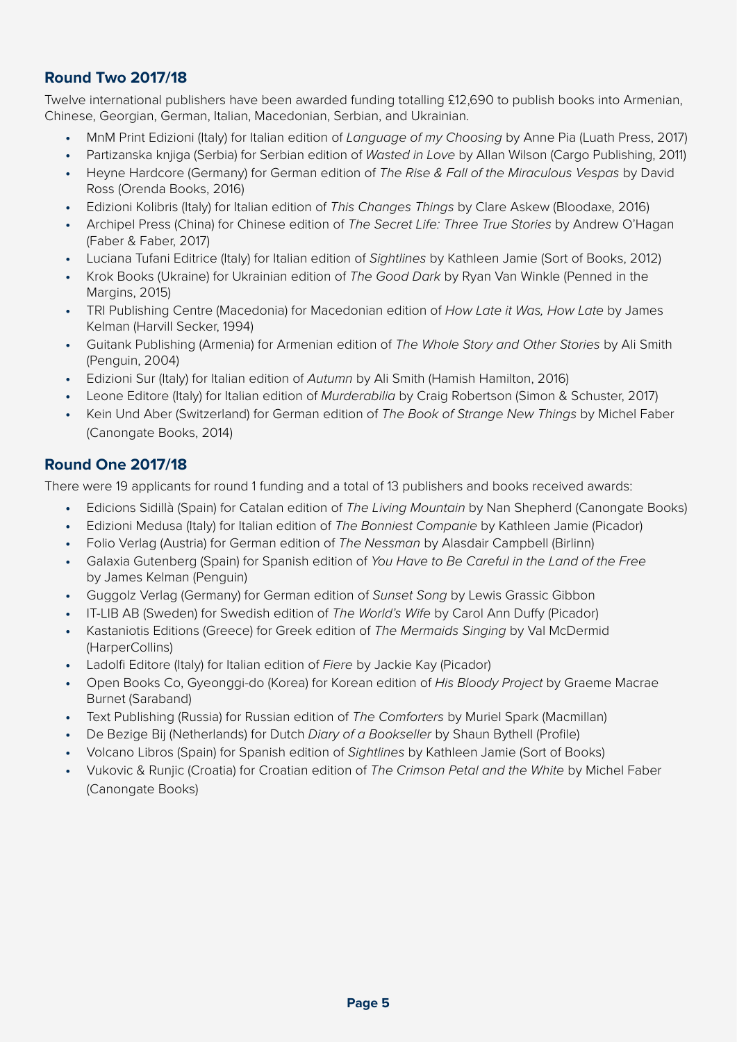# **Round Two 2017/18**

Twelve international publishers have been awarded funding totalling £12,690 to publish books into Armenian, Chinese, Georgian, German, Italian, Macedonian, Serbian, and Ukrainian.

- **•** MnM Print Edizioni (Italy) for Italian edition of *Language of my Choosing* by Anne Pia (Luath Press, 2017)
- **•** Partizanska knjiga (Serbia) for Serbian edition of *Wasted in Love* by Allan Wilson (Cargo Publishing, 2011)
- **•** Heyne Hardcore (Germany) for German edition of *The Rise & Fall of the Miraculous Vespas* by David Ross (Orenda Books, 2016)
- **•** Edizioni Kolibris (Italy) for Italian edition of *This Changes Things* by Clare Askew (Bloodaxe, 2016)
- **•** Archipel Press (China) for Chinese edition of *The Secret Life: Three True Stories* by Andrew O'Hagan (Faber & Faber, 2017)
- **•** Luciana Tufani Editrice (Italy) for Italian edition of *Sightlines* by Kathleen Jamie (Sort of Books, 2012)
- **•** Krok Books (Ukraine) for Ukrainian edition of *The Good Dark* by Ryan Van Winkle (Penned in the Margins, 2015)
- **•** TRI Publishing Centre (Macedonia) for Macedonian edition of *How Late it Was, How Late* by James Kelman (Harvill Secker, 1994)
- **•** Guitank Publishing (Armenia) for Armenian edition of *The Whole Story and Other Stories* by Ali Smith (Penguin, 2004)
- **•** Edizioni Sur (Italy) for Italian edition of *Autumn* by Ali Smith (Hamish Hamilton, 2016)
- **•** Leone Editore (Italy) for Italian edition of *Murderabilia* by Craig Robertson (Simon & Schuster, 2017)
- **•** Kein Und Aber (Switzerland) for German edition of *The Book of Strange New Things* by Michel Faber (Canongate Books, 2014)

#### **Round One 2017/18**

There were 19 applicants for round 1 funding and a total of 13 publishers and books received awards:

- **•** Edicions Sidillà (Spain) for Catalan edition of *The Living Mountain* by Nan Shepherd (Canongate Books)
- **•** Edizioni Medusa (Italy) for Italian edition of *The Bonniest Companie* by Kathleen Jamie (Picador)
- **•** Folio Verlag (Austria) for German edition of *The Nessman* by Alasdair Campbell (Birlinn)
- **•** Galaxia Gutenberg (Spain) for Spanish edition of *You Have to Be Careful in the Land of the Free* by James Kelman (Penguin)
- **•** Guggolz Verlag (Germany) for German edition of *Sunset Song* by Lewis Grassic Gibbon
- **•** IT-LIB AB (Sweden) for Swedish edition of *The World's Wife* by Carol Ann Duffy (Picador)
- **•** Kastaniotis Editions (Greece) for Greek edition of *The Mermaids Singing* by Val McDermid (HarperCollins)
- **•** Ladolfi Editore (Italy) for Italian edition of *Fiere* by Jackie Kay (Picador)
- **•** Open Books Co, Gyeonggi-do (Korea) for Korean edition of *His Bloody Project* by Graeme Macrae Burnet (Saraband)
- **•** Text Publishing (Russia) for Russian edition of *The Comforters* by Muriel Spark (Macmillan)
- **•** De Bezige Bij (Netherlands) for Dutch *Diary of a Bookseller* by Shaun Bythell (Profile)
- **•** Volcano Libros (Spain) for Spanish edition of *Sightlines* by Kathleen Jamie (Sort of Books)
- **•** Vukovic & Runjic (Croatia) for Croatian edition of *The Crimson Petal and the White* by Michel Faber (Canongate Books)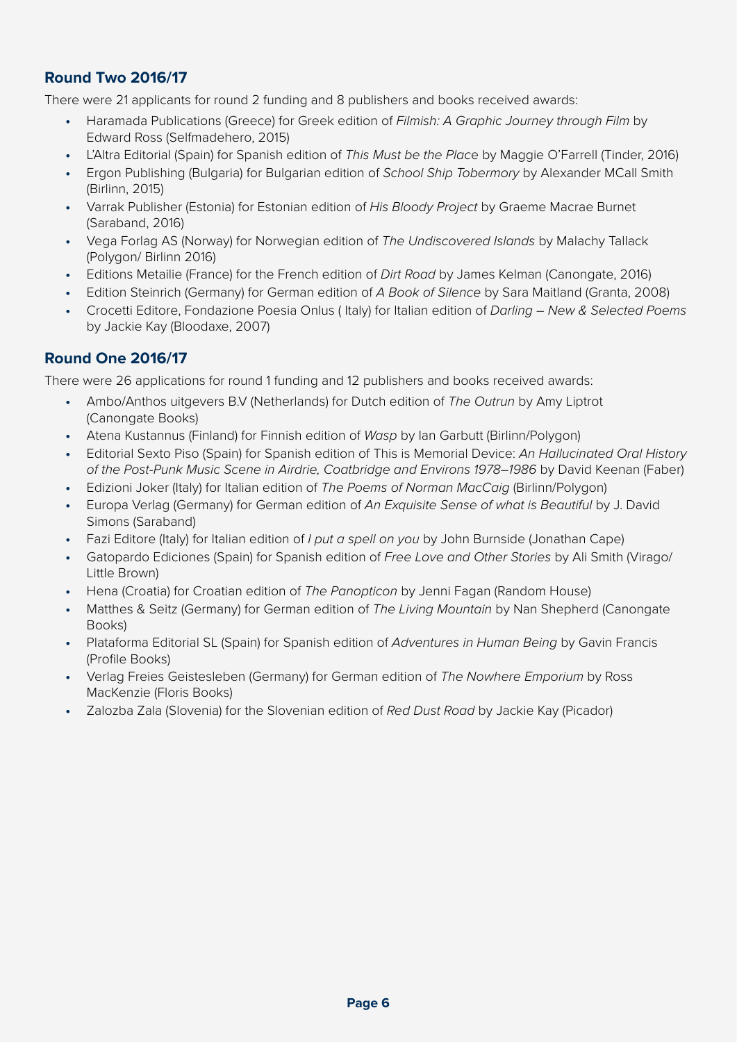# **Round Two 2016/17**

There were 21 applicants for round 2 funding and 8 publishers and books received awards:

- **•** Haramada Publications (Greece) for Greek edition of *Filmish: A Graphic Journey through Film* by Edward Ross (Selfmadehero, 2015)
- **•** L'Altra Editorial (Spain) for Spanish edition of *This Must be the Plac*e by Maggie O'Farrell (Tinder, 2016)
- **•** Ergon Publishing (Bulgaria) for Bulgarian edition of *School Ship Tobermory* by Alexander MCall Smith (Birlinn, 2015)
- **•** Varrak Publisher (Estonia) for Estonian edition of *His Bloody Project* by Graeme Macrae Burnet (Saraband, 2016)
- **•** Vega Forlag AS (Norway) for Norwegian edition of *The Undiscovered Islands* by Malachy Tallack (Polygon/ Birlinn 2016)
- **•** Editions Metailie (France) for the French edition of *Dirt Road* by James Kelman (Canongate, 2016)
- **•** Edition Steinrich (Germany) for German edition of *A Book of Silence* by Sara Maitland (Granta, 2008)
- **•** Crocetti Editore, Fondazione Poesia Onlus ( Italy) for Italian edition of *Darling New & Selected Poems*  by Jackie Kay (Bloodaxe, 2007)

#### **Round One 2016/17**

There were 26 applications for round 1 funding and 12 publishers and books received awards:

- **•** Ambo/Anthos uitgevers B.V (Netherlands) for Dutch edition of *The Outrun* by Amy Liptrot (Canongate Books)
- **•** Atena Kustannus (Finland) for Finnish edition of *Wasp* by Ian Garbutt (Birlinn/Polygon)
- **•** Editorial Sexto Piso (Spain) for Spanish edition of This is Memorial Device: *An Hallucinated Oral History of the Post-Punk Music Scene in Airdrie, Coatbridge and Environs 1978–1986* by David Keenan (Faber)
- **•** Edizioni Joker (Italy) for Italian edition of *The Poems of Norman MacCaig* (Birlinn/Polygon)
- **•** Europa Verlag (Germany) for German edition of *An Exquisite Sense of what is Beautiful* by J. David Simons (Saraband)
- **•** Fazi Editore (Italy) for Italian edition of *I put a spell on you* by John Burnside (Jonathan Cape)
- **•** Gatopardo Ediciones (Spain) for Spanish edition of *Free Love and Other Stories* by Ali Smith (Virago/ Little Brown)
- **•** Hena (Croatia) for Croatian edition of *The Panopticon* by Jenni Fagan (Random House)
- **•** Matthes & Seitz (Germany) for German edition of *The Living Mountain* by Nan Shepherd (Canongate Books)
- **•** Plataforma Editorial SL (Spain) for Spanish edition of *Adventures in Human Being* by Gavin Francis (Profile Books)
- **•** Verlag Freies Geistesleben (Germany) for German edition of *The Nowhere Emporium* by Ross MacKenzie (Floris Books)
- **•** Zalozba Zala (Slovenia) for the Slovenian edition of *Red Dust Road* by Jackie Kay (Picador)